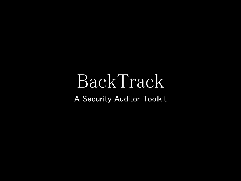## BackTrack A Security Auditor Toolkit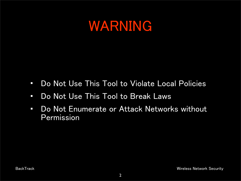#### WARNING

- Do Not Use This Tool to Violate Local Policies
- Do Not Use This Tool to Break Laws
- Do Not Enumerate or Attack Networks without Permission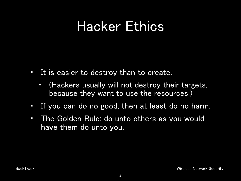#### Hacker Ethics

- It is easier to destroy than to create.
	- (Hackers usually will not destroy their targets, because they want to use the resources.)
- If you can do no good, then at least do no harm.
- The Golden Rule: do unto others as you would have them do unto you.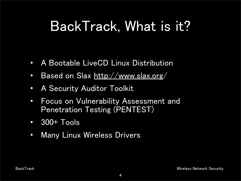### BackTrack, What is it?

- A Bootable LiveCD Linux Distribution
- Based on Slax [http://www.slax.org/](http://www.slax.org)
- A Security Auditor Toolkit
- Focus on Vulnerability Assessment and Penetration Testing (PENTEST)
- 300+ Tools
- Many Linux Wireless Drivers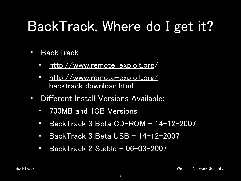# BackTrack, Where do I get it?

- **BackTrack** 
	- [http://www.remote-exploit.org/](http://www.remote-exploit.org)
	- [http://www.remote-exploit.org/](http://www.remote-exploit.org/backtrack_download.html) [backtrack\\_download.html](http://www.remote-exploit.org/backtrack_download.html)
- Different Install Versions Available:
	- 700MB and 1GB Versions
	- BackTrack 3 Beta CD-ROM 14-12-2007
	- BackTrack 3 Beta USB 14-12-2007
	- BackTrack 2 Stable 06-03-2007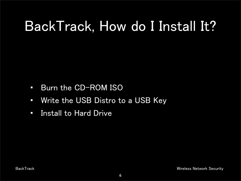## BackTrack, How do I Install It?

- Burn the CD-ROM ISO
- Write the USB Distro to a USB Key
- Install to Hard Drive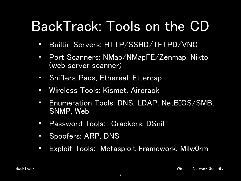## BackTrack: Tools on the CD

- Builtin Servers: HTTP/SSHD/TFTPD/VNC
- Port Scanners: NMap/NMapFE/Zenmap, Nikto (web server scanner)
- Sniffers:Pads, Ethereal, Ettercap
- Wireless Tools: Kismet, Aircrack
- Enumeration Tools: DNS, LDAP, NetBIOS/SMB, SNMP, Web
- Password Tools: Crackers, DSniff
- Spoofers: ARP, DNS
- Exploit Tools: Metasploit Framework, Milw0rm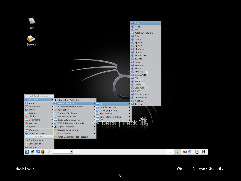

BackTrack Wireless Network Security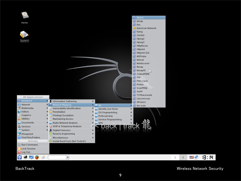

|                             |                                |                                      | $\bullet$ Otrace  |   |   |              |     |
|-----------------------------|--------------------------------|--------------------------------------|-------------------|---|---|--------------|-----|
| Home                        |                                |                                      | Amap              |   |   |              |     |
|                             |                                |                                      | Ass               |   |   |              |     |
|                             |                                |                                      | AutoScan Network  |   |   |              |     |
|                             |                                |                                      | <b>C</b> Fping    |   |   |              |     |
|                             |                                |                                      | G Genlist         |   |   |              |     |
|                             |                                |                                      | Hping2            |   |   |              |     |
| System                      |                                |                                      | C Hping3          |   |   |              |     |
|                             |                                |                                      | HttpRecon         |   |   |              |     |
|                             |                                |                                      | Httprint          |   |   |              |     |
|                             |                                |                                      | Httprint GUI      |   |   |              |     |
|                             |                                |                                      | <b>C</b> IKEProbe |   |   |              |     |
|                             |                                |                                      | Netcat            |   |   |              |     |
|                             |                                |                                      | Netdiscover       |   |   |              |     |
|                             |                                |                                      | Nmap              |   |   |              |     |
|                             |                                |                                      | NmapFE<br>r       |   |   |              |     |
|                             |                                |                                      | OutputPBNJ        |   |   |              |     |
|                             |                                |                                      | C POF             |   |   |              |     |
|                             |                                |                                      | PSK-Crack         |   |   |              |     |
|                             |                                |                                      | <b>C</b> Protos   |   |   |              |     |
|                             |                                |                                      | ScanPBNJ          |   |   |              |     |
|                             |                                |                                      | SinFP             |   |   |              |     |
| <b>All Applications</b>     |                                |                                      | TCPtraceroute     |   |   |              |     |
| <b>Backtrack</b>            |                                |                                      | Unicornscan       |   |   |              |     |
| nternet                     | Information Gathering          | ▸                                    | XProbe2           |   |   |              |     |
| o Multimedia                | Network Mapping                | <b>TE All</b>                        | ike-scan          |   |   |              |     |
|                             | Vulnerability Identification   | Identify Live Hosts                  |                   |   |   |              |     |
| $\mathbf{N}$ Editors        | Penetration                    | OS-Fingerprinting                    |                   |   |   |              |     |
| Graphics<br>on Utilities    | <b>Privilege Escalation</b>    | Portscanning                         |                   |   |   |              |     |
|                             | <b>Maintaining Access</b>      | Service Fingerprinting               | ▸<br><u> ኢբ</u>   |   |   |              |     |
| Documents                   | Radio Network Analysis         | <b>NO VPN</b><br><b>back track 祁</b> |                   |   |   |              |     |
| Services                    | VOIP & Telephony Analysis      |                                      |                   |   |   |              |     |
| $\blacksquare$ System       | <b>Digital Forensics</b>       | ▸                                    |                   |   |   |              |     |
| KSnapshot                   | Reverse Engineering            |                                      |                   |   |   |              |     |
| <b>Q</b> Find Files/Folders | Miscellaneous                  |                                      |                   |   |   |              |     |
| <b>Actions</b>              | nstall BackTrack (Not Tested!) |                                      |                   |   |   |              |     |
| Run Command                 |                                |                                      |                   |   |   |              |     |
| <b>Lock Session</b>         |                                |                                      |                   |   |   |              |     |
| U Log Out                   |                                |                                      |                   |   |   |              |     |
| F                           | $\blacktriangledown$           |                                      |                   | 1 | 2 | りょくしょう おくしょう | 8:8 |
|                             |                                |                                      |                   |   |   |              |     |

BackTrack Wireless Network Security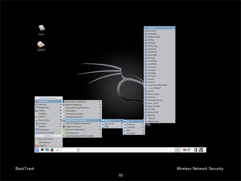|                         |                                     |                                               | ASLeap               |   |              |    |      |
|-------------------------|-------------------------------------|-----------------------------------------------|----------------------|---|--------------|----|------|
|                         |                                     |                                               | Air Crack            |   |              |    |      |
| Home                    |                                     |                                               | Air Replay           |   |              |    |      |
|                         |                                     |                                               | AirMon Script        |   |              |    |      |
|                         |                                     |                                               | AirPwn               |   |              |    |      |
|                         |                                     |                                               | AirSnarf             |   |              |    |      |
|                         |                                     |                                               | AirTun-ng            |   |              |    |      |
|                         |                                     |                                               | Airdecap             |   |              |    |      |
| System                  |                                     |                                               | Airodump             |   |              |    |      |
|                         |                                     |                                               | Airoscript           |   |              |    |      |
|                         |                                     |                                               | Airsnort             |   |              |    |      |
|                         |                                     |                                               | CowPatty             |   |              |    |      |
|                         |                                     |                                               | CowPatty             |   |              |    |      |
|                         |                                     |                                               | GenKeys              |   |              |    |      |
|                         |                                     |                                               | Genpmk               |   |              |    |      |
|                         |                                     |                                               | Genpmk               |   |              |    |      |
|                         |                                     |                                               | <b>O</b> IVSTools    |   |              |    |      |
|                         |                                     |                                               | C Karma              |   |              |    |      |
|                         |                                     |                                               | Kismet               |   |              |    |      |
|                         |                                     |                                               | C Load IPW 3945/4965 |   |              |    |      |
|                         |                                     |                                               | C Load IPWRAW        |   |              |    |      |
|                         |                                     |                                               | C MDK3               |   |              |    |      |
|                         |                                     |                                               | MacChanger           |   |              |    |      |
|                         |                                     |                                               | Makeivs              |   |              |    |      |
| <b>All Applications</b> |                                     |                                               | Packetforge-ng       |   |              |    |      |
| <b>&amp;</b> Backtrack  | Information Gathering               |                                               |                      |   |              |    |      |
| nternet                 | Network Mapping                     |                                               | Wep_crack            |   |              |    |      |
| Multimedia              | Vulnerability Identification        |                                               | Wep_decrypt          |   |              |    |      |
| <b>N</b> Editors        | Penetration                         |                                               | WiCrawl              |   |              |    |      |
| Graphics                | <b>Privilege Escalation</b>         |                                               | WiSpy GTK            |   |              |    |      |
| Utilities<br>$\sigma$   | <b>Maintaining Access</b>           |                                               | WifiTap              |   |              |    |      |
| Documents               | Radio Network Analysis              | $\frac{1}{2}$ 80211<br>$\parallel$ $\sim$ All | WifiZoo              |   |              |    |      |
| Services                | VOIP & Telephony Analysis           | <b>Bluetooth</b>                              | Wlassistant          |   |              |    |      |
| $\blacksquare$ System   | Digital Forensics                   | Analyser<br>RFID                              | ت                    |   |              |    |      |
| KSnapshot               | Reverse Engineering                 | Cracking                                      |                      |   |              |    |      |
| C Find Files/Folders    | Miscellaneous                       | Misc                                          |                      |   |              |    |      |
| Actions                 | (a) Install BackTrack (Not Tested!) | Spoofing                                      | ▸                    |   |              |    |      |
|                         |                                     |                                               |                      |   |              |    |      |
| Run Command             |                                     |                                               |                      |   |              |    |      |
| <b>Lock Session</b>     |                                     |                                               |                      |   |              |    |      |
| U Log Out               |                                     |                                               |                      |   |              |    |      |
| 偃<br>Э<br>હ             | $\vert$                             |                                               |                      | 1 | $\mathbf{Z}$ | 醒心 | 8:20 |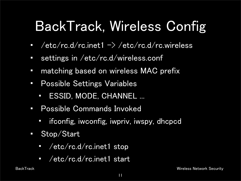# BackTrack, Wireless Config

- /etc/rc.d/rc.inet1  $\rightarrow$  /etc/rc.d/rc.wireless
- settings in /etc/rc.d/wireless.conf
- matching based on wireless MAC prefix
- Possible Settings Variables
	- ESSID, MODE, CHANNEL ...
- Possible Commands Invoked
	- ifconfig, iwconfig, iwpriv, iwspy, dhcpcd
- Stop/Start
	- /etc/rc.d/rc.inet1 stop
	- /etc/rc.d/rc.inet1 start